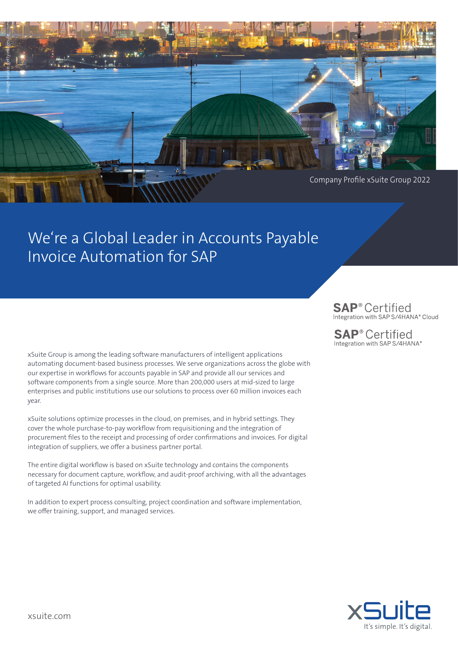

# We're a Global Leader in Accounts Payable Invoice Automation for SAP

xSuite Group is among the leading software manufacturers of intelligent applications automating document-based business processes. We serve organizations across the globe with our expertise in workflows for accounts payable in SAP and provide all our services and software components from a single source. More than 200,000 users at mid-sized to large enterprises and public institutions use our solutions to process over 60 million invoices each year.

xSuite solutions optimize processes in the cloud, on premises, and in hybrid settings. They cover the whole purchase-to-pay workflow from requisitioning and the integration of procurement files to the receipt and processing of order confirmations and invoices. For digital integration of suppliers, we offer a business partner portal.

The entire digital workflow is based on xSuite technology and contains the components necessary for document capture, workflow, and audit-proof archiving, with all the advantages of targeted AI functions for optimal usability.

In addition to expert process consulting, project coordination and software implementation, we offer training, support, and managed services.

## **SAP**<sup>®</sup> Certified Integration with SAP S/4HANA® Cloud

**SAP®Certified** Integration with SAP S/4HANA®